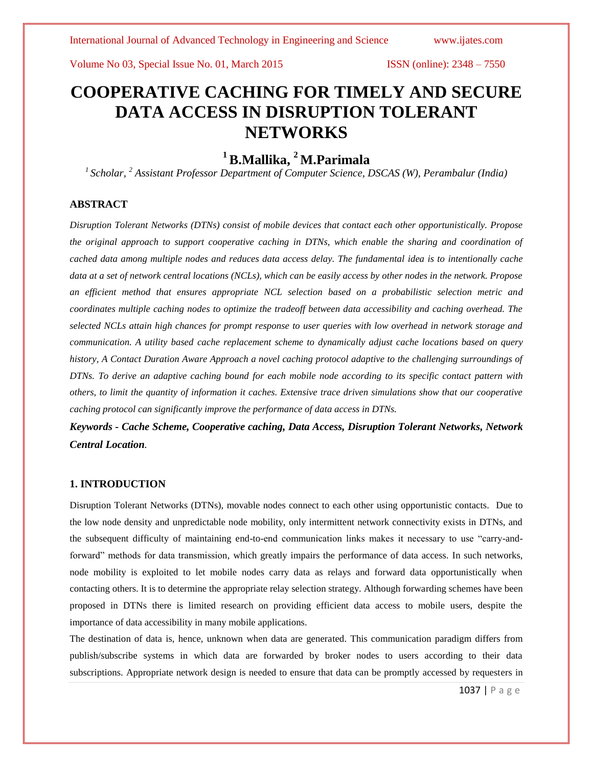# **COOPERATIVE CACHING FOR TIMELY AND SECURE DATA ACCESS IN DISRUPTION TOLERANT NETWORKS**

## **<sup>1</sup>B.Mallika, <sup>2</sup>M.Parimala**

*1 Scholar, <sup>2</sup> Assistant Professor Department of Computer Science, DSCAS (W), Perambalur (India)*

### **ABSTRACT**

*Disruption Tolerant Networks (DTNs) consist of mobile devices that contact each other opportunistically. Propose the original approach to support cooperative caching in DTNs, which enable the sharing and coordination of cached data among multiple nodes and reduces data access delay. The fundamental idea is to intentionally cache data at a set of network central locations (NCLs), which can be easily access by other nodes in the network. Propose an efficient method that ensures appropriate NCL selection based on a probabilistic selection metric and coordinates multiple caching nodes to optimize the tradeoff between data accessibility and caching overhead. The selected NCLs attain high chances for prompt response to user queries with low overhead in network storage and communication. A utility based cache replacement scheme to dynamically adjust cache locations based on query history, A Contact Duration Aware Approach a novel caching protocol adaptive to the challenging surroundings of DTNs. To derive an adaptive caching bound for each mobile node according to its specific contact pattern with others, to limit the quantity of information it caches. Extensive trace driven simulations show that our cooperative caching protocol can significantly improve the performance of data access in DTNs.*

*Keywords - Cache Scheme, Cooperative caching, Data Access, Disruption Tolerant Networks, Network Central Location.*

### **1. INTRODUCTION**

Disruption Tolerant Networks (DTNs), movable nodes connect to each other using opportunistic contacts. Due to the low node density and unpredictable node mobility, only intermittent network connectivity exists in DTNs, and the subsequent difficulty of maintaining end-to-end communication links makes it necessary to use "carry-andforward" methods for data transmission, which greatly impairs the performance of data access. In such networks, node mobility is exploited to let mobile nodes carry data as relays and forward data opportunistically when contacting others. It is to determine the appropriate relay selection strategy. Although forwarding schemes have been proposed in DTNs there is limited research on providing efficient data access to mobile users, despite the importance of data accessibility in many mobile applications.

The destination of data is, hence, unknown when data are generated. This communication paradigm differs from publish/subscribe systems in which data are forwarded by broker nodes to users according to their data subscriptions. Appropriate network design is needed to ensure that data can be promptly accessed by requesters in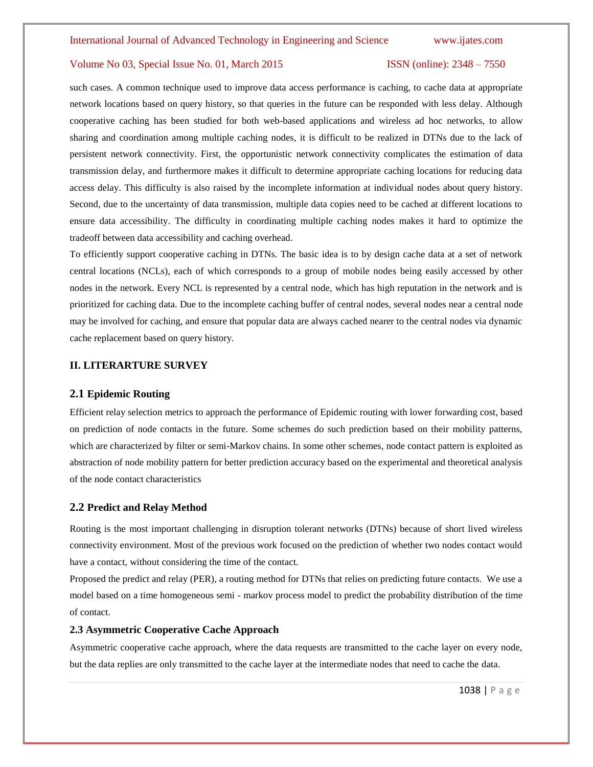such cases. A common technique used to improve data access performance is caching, to cache data at appropriate network locations based on query history, so that queries in the future can be responded with less delay. Although cooperative caching has been studied for both web-based applications and wireless ad hoc networks, to allow sharing and coordination among multiple caching nodes, it is difficult to be realized in DTNs due to the lack of persistent network connectivity. First, the opportunistic network connectivity complicates the estimation of data transmission delay, and furthermore makes it difficult to determine appropriate caching locations for reducing data access delay. This difficulty is also raised by the incomplete information at individual nodes about query history. Second, due to the uncertainty of data transmission, multiple data copies need to be cached at different locations to ensure data accessibility. The difficulty in coordinating multiple caching nodes makes it hard to optimize the tradeoff between data accessibility and caching overhead.

To efficiently support cooperative caching in DTNs. The basic idea is to by design cache data at a set of network central locations (NCLs), each of which corresponds to a group of mobile nodes being easily accessed by other nodes in the network. Every NCL is represented by a central node, which has high reputation in the network and is prioritized for caching data. Due to the incomplete caching buffer of central nodes, several nodes near a central node may be involved for caching, and ensure that popular data are always cached nearer to the central nodes via dynamic cache replacement based on query history.

#### **II. LITERARTURE SURVEY**

#### **2.1 Epidemic Routing**

Efficient relay selection metrics to approach the performance of Epidemic routing with lower forwarding cost, based on prediction of node contacts in the future. Some schemes do such prediction based on their mobility patterns, which are characterized by filter or semi-Markov chains. In some other schemes, node contact pattern is exploited as abstraction of node mobility pattern for better prediction accuracy based on the experimental and theoretical analysis of the node contact characteristics

#### **2.2 Predict and Relay Method**

Routing is the most important challenging in disruption tolerant networks (DTNs) because of short lived wireless connectivity environment. Most of the previous work focused on the prediction of whether two nodes contact would have a contact, without considering the time of the contact.

Proposed the predict and relay (PER), a routing method for DTNs that relies on predicting future contacts. We use a model based on a time homogeneous semi - markov process model to predict the probability distribution of the time of contact.

#### **2.3 Asymmetric Cooperative Cache Approach**

Asymmetric cooperative cache approach, where the data requests are transmitted to the cache layer on every node, but the data replies are only transmitted to the cache layer at the intermediate nodes that need to cache the data.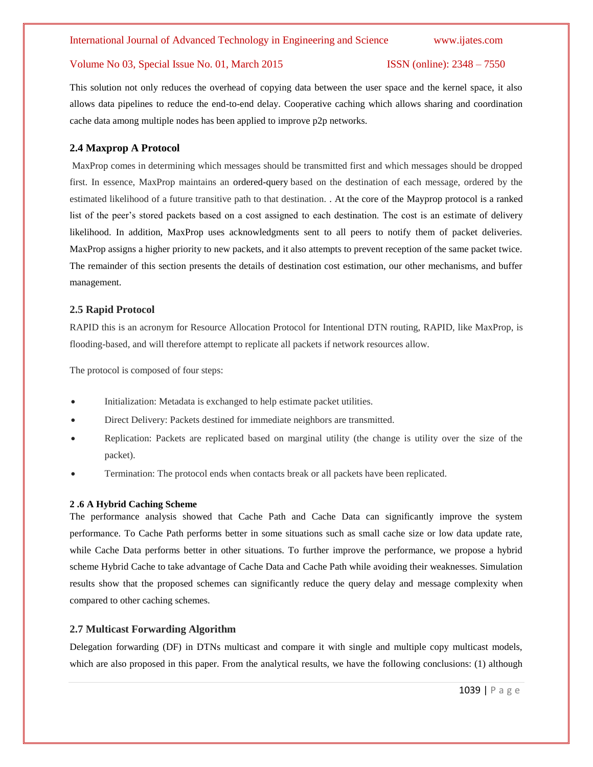This solution not only reduces the overhead of copying data between the user space and the kernel space, it also allows data pipelines to reduce the end-to-end delay. Cooperative caching which allows sharing and coordination cache data among multiple nodes has been applied to improve p2p networks.

### **2.4 Maxprop A Protocol**

MaxProp comes in determining which messages should be transmitted first and which messages should be dropped first. In essence, MaxProp maintains an ordered-query based on the destination of each message, ordered by the estimated likelihood of a future transitive path to that destination. . At the core of the Mayprop protocol is a ranked list of the peer's stored packets based on a cost assigned to each destination. The cost is an estimate of delivery likelihood. In addition, MaxProp uses acknowledgments sent to all peers to notify them of packet deliveries. MaxProp assigns a higher priority to new packets, and it also attempts to prevent reception of the same packet twice. The remainder of this section presents the details of destination cost estimation, our other mechanisms, and buffer management.

#### **2.5 Rapid Protocol**

RAPID this is an acronym for Resource Allocation Protocol for Intentional DTN routing, RAPID, like MaxProp, is flooding-based, and will therefore attempt to replicate all packets if network resources allow.

The protocol is composed of four steps:

- Initialization: Metadata is exchanged to help estimate packet utilities.
- Direct Delivery: Packets destined for immediate neighbors are transmitted.
- Replication: Packets are replicated based on marginal utility (the change is utility over the size of the packet).
- Termination: The protocol ends when contacts break or all packets have been replicated.

#### **2 .6 A Hybrid Caching Scheme**

The performance analysis showed that Cache Path and Cache Data can significantly improve the system performance. To Cache Path performs better in some situations such as small cache size or low data update rate, while Cache Data performs better in other situations. To further improve the performance, we propose a hybrid scheme Hybrid Cache to take advantage of Cache Data and Cache Path while avoiding their weaknesses. Simulation results show that the proposed schemes can significantly reduce the query delay and message complexity when compared to other caching schemes.

#### **2.7 Multicast Forwarding Algorithm**

Delegation forwarding (DF) in DTNs multicast and compare it with single and multiple copy multicast models, which are also proposed in this paper. From the analytical results, we have the following conclusions: (1) although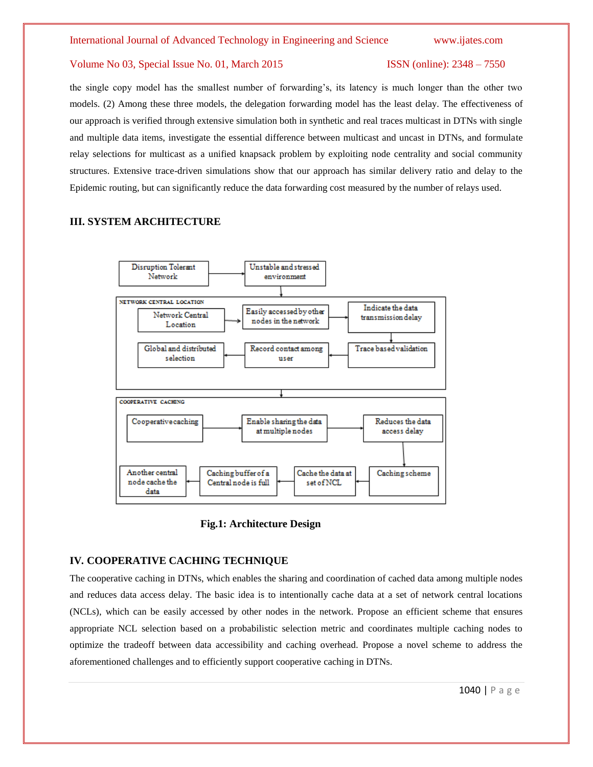the single copy model has the smallest number of forwarding's, its latency is much longer than the other two models. (2) Among these three models, the delegation forwarding model has the least delay. The effectiveness of our approach is verified through extensive simulation both in synthetic and real traces multicast in DTNs with single and multiple data items, investigate the essential difference between multicast and uncast in DTNs, and formulate relay selections for multicast as a unified knapsack problem by exploiting node centrality and social community structures. Extensive trace-driven simulations show that our approach has similar delivery ratio and delay to the Epidemic routing, but can significantly reduce the data forwarding cost measured by the number of relays used.

### **III. SYSTEM ARCHITECTURE**



 **Fig.1: Architecture Design**

#### **IV***.* **COOPERATIVE CACHING TECHNIQUE**

The cooperative caching in DTNs, which enables the sharing and coordination of cached data among multiple nodes and reduces data access delay. The basic idea is to intentionally cache data at a set of network central locations (NCLs), which can be easily accessed by other nodes in the network. Propose an efficient scheme that ensures appropriate NCL selection based on a probabilistic selection metric and coordinates multiple caching nodes to optimize the tradeoff between data accessibility and caching overhead. Propose a novel scheme to address the aforementioned challenges and to efficiently support cooperative caching in DTNs.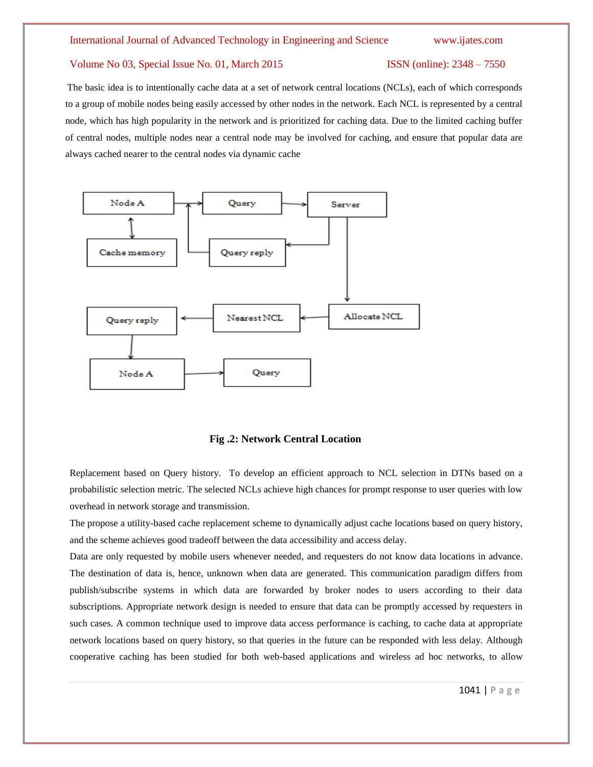The basic idea is to intentionally cache data at a set of network central locations (NCLs), each of which corresponds to a group of mobile nodes being easily accessed by other nodes in the network. Each NCL is represented by a central node, which has high popularity in the network and is prioritized for caching data. Due to the limited caching buffer of central nodes, multiple nodes near a central node may be involved for caching, and ensure that popular data are always cached nearer to the central nodes via dynamic cache



#### **Fig .2: Network Central Location**

Replacement based on Query history. To develop an efficient approach to NCL selection in DTNs based on a probabilistic selection metric. The selected NCLs achieve high chances for prompt response to user queries with low overhead in network storage and transmission.

The propose a utility-based cache replacement scheme to dynamically adjust cache locations based on query history, and the scheme achieves good tradeoff between the data accessibility and access delay.

Data are only requested by mobile users whenever needed, and requesters do not know data locations in advance. The destination of data is, hence, unknown when data are generated. This communication paradigm differs from publish/subscribe systems in which data are forwarded by broker nodes to users according to their data subscriptions. Appropriate network design is needed to ensure that data can be promptly accessed by requesters in such cases. A common technique used to improve data access performance is caching, to cache data at appropriate network locations based on query history, so that queries in the future can be responded with less delay. Although cooperative caching has been studied for both web-based applications and wireless ad hoc networks, to allow